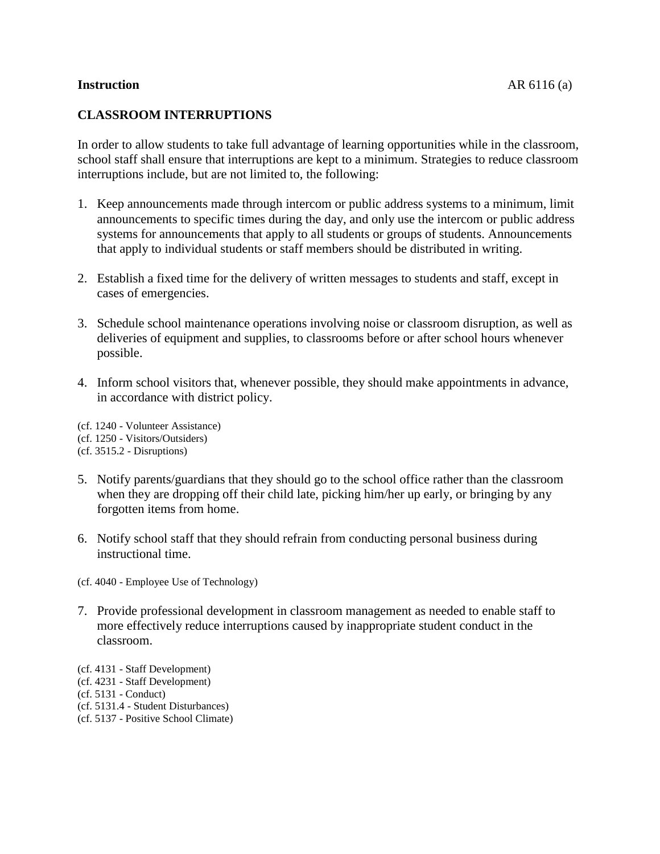## **Instruction** AR 6116 (a)

## **CLASSROOM INTERRUPTIONS**

In order to allow students to take full advantage of learning opportunities while in the classroom, school staff shall ensure that interruptions are kept to a minimum. Strategies to reduce classroom interruptions include, but are not limited to, the following:

- 1. Keep announcements made through intercom or public address systems to a minimum, limit announcements to specific times during the day, and only use the intercom or public address systems for announcements that apply to all students or groups of students. Announcements that apply to individual students or staff members should be distributed in writing.
- 2. Establish a fixed time for the delivery of written messages to students and staff, except in cases of emergencies.
- 3. Schedule school maintenance operations involving noise or classroom disruption, as well as deliveries of equipment and supplies, to classrooms before or after school hours whenever possible.
- 4. Inform school visitors that, whenever possible, they should make appointments in advance, in accordance with district policy.
- (cf. 1240 Volunteer Assistance) (cf. 1250 - Visitors/Outsiders) (cf. 3515.2 - Disruptions)
- 
- 5. Notify parents/guardians that they should go to the school office rather than the classroom when they are dropping off their child late, picking him/her up early, or bringing by any forgotten items from home.
- 6. Notify school staff that they should refrain from conducting personal business during instructional time.
- (cf. 4040 Employee Use of Technology)
- 7. Provide professional development in classroom management as needed to enable staff to more effectively reduce interruptions caused by inappropriate student conduct in the classroom.
- (cf. 4131 Staff Development)
- (cf. 4231 Staff Development)
- (cf. 5131 Conduct)
- (cf. 5131.4 Student Disturbances)
- (cf. 5137 Positive School Climate)